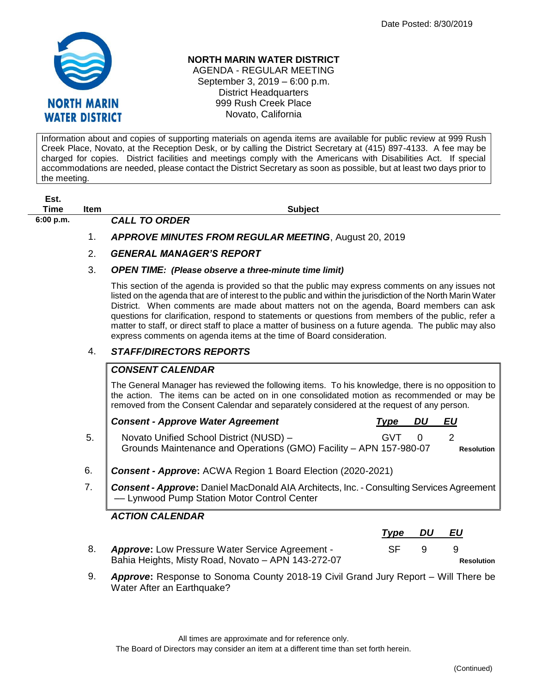

#### **NORTH MARIN WATER DISTRICT**

AGENDA - REGULAR MEETING September 3, 2019 – 6:00 p.m. District Headquarters 999 Rush Creek Place Novato, California

Information about and copies of supporting materials on agenda items are available for public review at 999 Rush Creek Place, Novato, at the Reception Desk, or by calling the District Secretary at (415) 897-4133. A fee may be charged for copies. District facilities and meetings comply with the Americans with Disabilities Act. If special accommodations are needed, please contact the District Secretary as soon as possible, but at least two days prior to the meeting.

# **Est.**

**6:00 p.m.** *CALL TO ORDER* 

**Time Item Subject**

## 1. *APPROVE MINUTES FROM REGULAR MEETING*, August 20, 2019

## 2. *GENERAL MANAGER'S REPORT*

#### 3. *OPEN TIME: (Please observe a three-minute time limit)*

This section of the agenda is provided so that the public may express comments on any issues not listed on the agenda that are of interest to the public and within the jurisdiction of the North Marin Water District. When comments are made about matters not on the agenda, Board members can ask questions for clarification, respond to statements or questions from members of the public, refer a matter to staff, or direct staff to place a matter of business on a future agenda. The public may also express comments on agenda items at the time of Board consideration.

## 4. *STAFF/DIRECTORS REPORTS*

### *CONSENT CALENDAR*

The General Manager has reviewed the following items. To his knowledge, there is no opposition to the action. The items can be acted on in one consolidated motion as recommended or may be removed from the Consent Calendar and separately considered at the request of any person.

|    | <b>Consent - Approve Water Agreement</b>                                                                      | Tvpe       | DU | EU                |
|----|---------------------------------------------------------------------------------------------------------------|------------|----|-------------------|
| 5. | Novato Unified School District (NUSD) -<br>Grounds Maintenance and Operations (GMO) Facility - APN 157-980-07 | <b>GVT</b> |    | <b>Resolution</b> |
|    | Consent - Approve: ACWA Region 1 Board Election (2020-2021)                                                   |            |    |                   |

7. *Consent - Approve***:** Daniel MacDonald AIA Architects, Inc. - Consulting Services Agreement –– Lynwood Pump Station Motor Control Center

## *ACTION CALENDAR*

|  |                                                        | Type DU |     | EU |                   |
|--|--------------------------------------------------------|---------|-----|----|-------------------|
|  | <b>Approve:</b> Low Pressure Water Service Agreement - | SE.     | - 9 |    |                   |
|  | Bahia Heights, Misty Road, Novato - APN 143-272-07     |         |     |    | <b>Resolution</b> |

9. *Approve***:** Response to Sonoma County 2018-19 Civil Grand Jury Report – Will There be Water After an Earthquake?